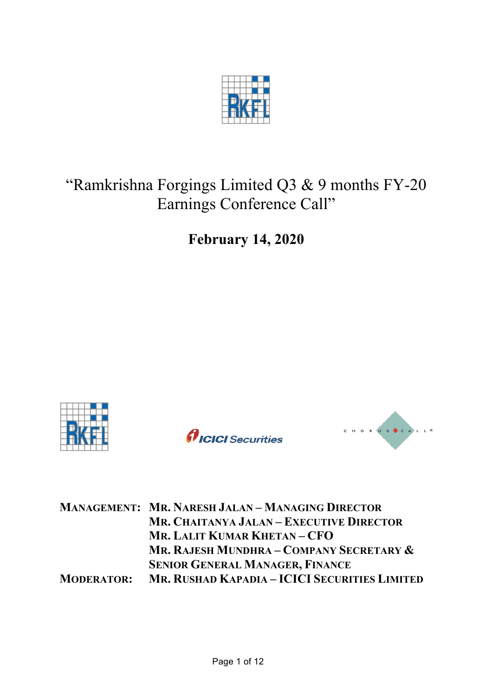

# "Ramkrishna Forgings Limited Q3 & 9 months FY-20 Earnings Conference Call"

**February 14, 2020**







|  | <b>MANAGEMENT: MR. NARESH JALAN - MANAGING DIRECTOR</b>         |
|--|-----------------------------------------------------------------|
|  | MR. CHAITANYA JALAN – EXECUTIVE DIRECTOR                        |
|  | MR. LALIT KUMAR KHETAN-CFO                                      |
|  | MR. RAJESH MUNDHRA – COMPANY SECRETARY &                        |
|  | <b>SENIOR GENERAL MANAGER, FINANCE</b>                          |
|  | <b>MODERATOR: MR. RUSHAD KAPADIA - ICICI SECURITIES LIMITED</b> |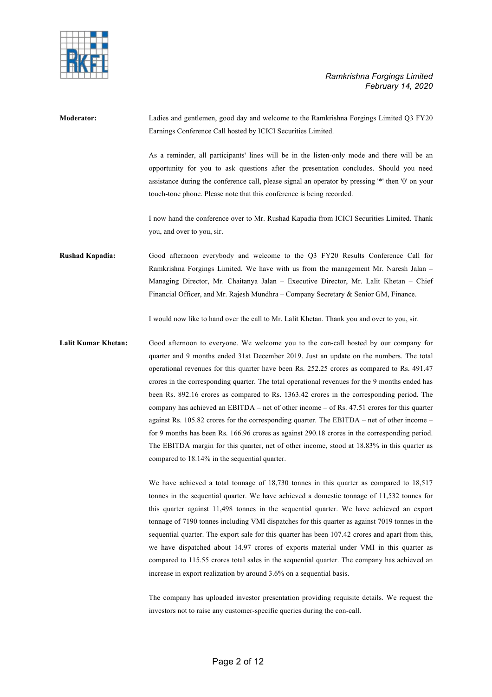

**Moderator:** Ladies and gentlemen, good day and welcome to the Ramkrishna Forgings Limited Q3 FY20 Earnings Conference Call hosted by ICICI Securities Limited. As a reminder, all participants' lines will be in the listen-only mode and there will be an opportunity for you to ask questions after the presentation concludes. Should you need assistance during the conference call, please signal an operator by pressing '\*' then '0' on your touch-tone phone. Please note that this conference is being recorded. I now hand the conference over to Mr. Rushad Kapadia from ICICI Securities Limited. Thank you, and over to you, sir. **Rushad Kapadia:** Good afternoon everybody and welcome to the Q3 FY20 Results Conference Call for Ramkrishna Forgings Limited. We have with us from the management Mr. Naresh Jalan – Managing Director, Mr. Chaitanya Jalan – Executive Director, Mr. Lalit Khetan – Chief Financial Officer, and Mr. Rajesh Mundhra – Company Secretary & Senior GM, Finance. I would now like to hand over the call to Mr. Lalit Khetan. Thank you and over to you, sir. **Lalit Kumar Khetan:** Good afternoon to everyone. We welcome you to the con-call hosted by our company for quarter and 9 months ended 31st December 2019. Just an update on the numbers. The total

operational revenues for this quarter have been Rs. 252.25 crores as compared to Rs. 491.47 crores in the corresponding quarter. The total operational revenues for the 9 months ended has been Rs. 892.16 crores as compared to Rs. 1363.42 crores in the corresponding period. The company has achieved an EBITDA – net of other income – of Rs. 47.51 crores for this quarter against Rs. 105.82 crores for the corresponding quarter. The EBITDA – net of other income – for 9 months has been Rs. 166.96 crores as against 290.18 crores in the corresponding period. The EBITDA margin for this quarter, net of other income, stood at 18.83% in this quarter as compared to 18.14% in the sequential quarter.

We have achieved a total tonnage of 18,730 tonnes in this quarter as compared to 18,517 tonnes in the sequential quarter. We have achieved a domestic tonnage of 11,532 tonnes for this quarter against 11,498 tonnes in the sequential quarter. We have achieved an export tonnage of 7190 tonnes including VMI dispatches for this quarter as against 7019 tonnes in the sequential quarter. The export sale for this quarter has been 107.42 crores and apart from this, we have dispatched about 14.97 crores of exports material under VMI in this quarter as compared to 115.55 crores total sales in the sequential quarter. The company has achieved an increase in export realization by around 3.6% on a sequential basis.

The company has uploaded investor presentation providing requisite details. We request the investors not to raise any customer-specific queries during the con-call.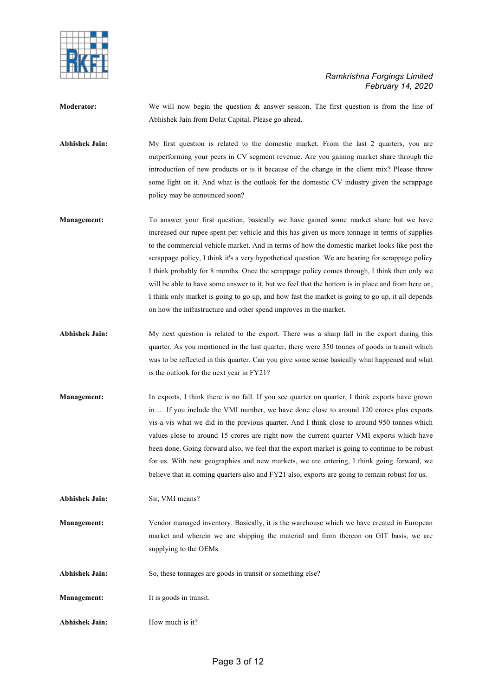

- **Moderator:** We will now begin the question & answer session. The first question is from the line of Abhishek Jain from Dolat Capital. Please go ahead.
- **Abhishek Jain:** My first question is related to the domestic market. From the last 2 quarters, you are outperforming your peers in CV segment revenue. Are you gaining market share through the introduction of new products or is it because of the change in the client mix? Please throw some light on it. And what is the outlook for the domestic CV industry given the scrappage policy may be announced soon?
- **Management:** To answer your first question, basically we have gained some market share but we have increased our rupee spent per vehicle and this has given us more tonnage in terms of supplies to the commercial vehicle market. And in terms of how the domestic market looks like post the scrappage policy, I think it's a very hypothetical question. We are hearing for scrappage policy I think probably for 8 months. Once the scrappage policy comes through, I think then only we will be able to have some answer to it, but we feel that the bottom is in place and from here on, I think only market is going to go up, and how fast the market is going to go up, it all depends on how the infrastructure and other spend improves in the market.
- **Abhishek Jain:** My next question is related to the export. There was a sharp fall in the export during this quarter. As you mentioned in the last quarter, there were 350 tonnes of goods in transit which was to be reflected in this quarter. Can you give some sense basically what happened and what is the outlook for the next year in FY21?
- **Management:** In exports, I think there is no fall. If you see quarter on quarter, I think exports have grown in…. If you include the VMI number, we have done close to around 120 crores plus exports vis-a-vis what we did in the previous quarter. And I think close to around 950 tonnes which values close to around 15 crores are right now the current quarter VMI exports which have been done. Going forward also, we feel that the export market is going to continue to be robust for us. With new geographies and new markets, we are entering, I think going forward, we believe that in coming quarters also and FY21 also, exports are going to remain robust for us.
- **Abhishek Jain:** Sir, VMI means?
- **Management:** Vendor managed inventory. Basically, it is the warehouse which we have created in European market and wherein we are shipping the material and from thereon on GIT basis, we are supplying to the OEMs.
- Abhishek Jain: So, these tonnages are goods in transit or something else?
- **Management:** It is goods in transit.
- **Abhishek Jain:** How much is it?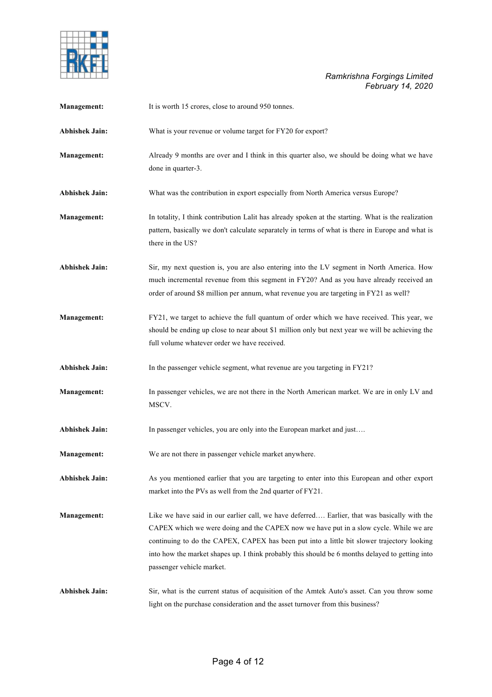

| Management:           | It is worth 15 crores, close to around 950 tonnes.                                                                                                                                                                                                                                                                                                                                                                  |
|-----------------------|---------------------------------------------------------------------------------------------------------------------------------------------------------------------------------------------------------------------------------------------------------------------------------------------------------------------------------------------------------------------------------------------------------------------|
| Abhishek Jain:        | What is your revenue or volume target for FY20 for export?                                                                                                                                                                                                                                                                                                                                                          |
| Management:           | Already 9 months are over and I think in this quarter also, we should be doing what we have<br>done in quarter-3.                                                                                                                                                                                                                                                                                                   |
| <b>Abhishek Jain:</b> | What was the contribution in export especially from North America versus Europe?                                                                                                                                                                                                                                                                                                                                    |
| Management:           | In totality, I think contribution Lalit has already spoken at the starting. What is the realization<br>pattern, basically we don't calculate separately in terms of what is there in Europe and what is<br>there in the US?                                                                                                                                                                                         |
| <b>Abhishek Jain:</b> | Sir, my next question is, you are also entering into the LV segment in North America. How<br>much incremental revenue from this segment in FY20? And as you have already received an<br>order of around \$8 million per annum, what revenue you are targeting in FY21 as well?                                                                                                                                      |
| <b>Management:</b>    | FY21, we target to achieve the full quantum of order which we have received. This year, we<br>should be ending up close to near about \$1 million only but next year we will be achieving the<br>full volume whatever order we have received.                                                                                                                                                                       |
| <b>Abhishek Jain:</b> | In the passenger vehicle segment, what revenue are you targeting in FY21?                                                                                                                                                                                                                                                                                                                                           |
| Management:           | In passenger vehicles, we are not there in the North American market. We are in only LV and<br>MSCV.                                                                                                                                                                                                                                                                                                                |
| <b>Abhishek Jain:</b> | In passenger vehicles, you are only into the European market and just                                                                                                                                                                                                                                                                                                                                               |
| <b>Management:</b>    | We are not there in passenger vehicle market anywhere.                                                                                                                                                                                                                                                                                                                                                              |
| <b>Abhishek Jain:</b> | As you mentioned earlier that you are targeting to enter into this European and other export<br>market into the PVs as well from the 2nd quarter of FY21.                                                                                                                                                                                                                                                           |
| <b>Management:</b>    | Like we have said in our earlier call, we have deferred Earlier, that was basically with the<br>CAPEX which we were doing and the CAPEX now we have put in a slow cycle. While we are<br>continuing to do the CAPEX, CAPEX has been put into a little bit slower trajectory looking<br>into how the market shapes up. I think probably this should be 6 months delayed to getting into<br>passenger vehicle market. |
| <b>Abhishek Jain:</b> | Sir, what is the current status of acquisition of the Amtek Auto's asset. Can you throw some<br>light on the purchase consideration and the asset turnover from this business?                                                                                                                                                                                                                                      |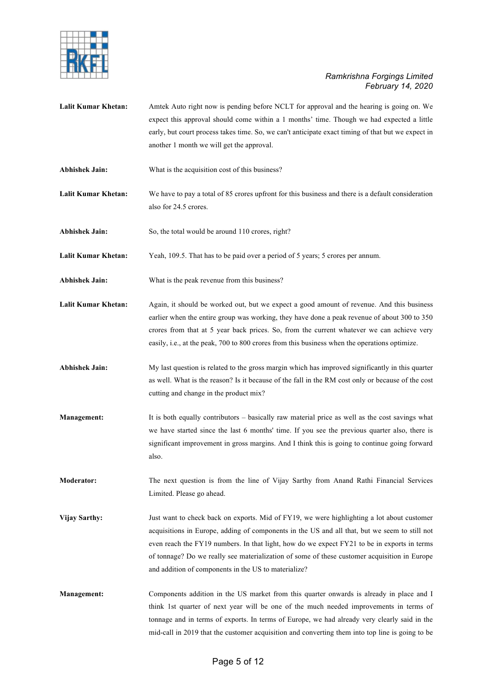

- **Lalit Kumar Khetan:** Amtek Auto right now is pending before NCLT for approval and the hearing is going on. We expect this approval should come within a 1 months' time. Though we had expected a little early, but court process takes time. So, we can't anticipate exact timing of that but we expect in another 1 month we will get the approval.
- **Abhishek Jain:** What is the acquisition cost of this business?
- **Lalit Kumar Khetan:** We have to pay a total of 85 crores upfront for this business and there is a default consideration also for 24.5 crores.
- Abhishek Jain: So, the total would be around 110 crores, right?

**Lalit Kumar Khetan:** Yeah, 109.5. That has to be paid over a period of 5 years; 5 crores per annum.

- **Abhishek Jain:** What is the peak revenue from this business?
- **Lalit Kumar Khetan:** Again, it should be worked out, but we expect a good amount of revenue. And this business earlier when the entire group was working, they have done a peak revenue of about 300 to 350 crores from that at 5 year back prices. So, from the current whatever we can achieve very easily, i.e., at the peak, 700 to 800 crores from this business when the operations optimize.
- **Abhishek Jain:** My last question is related to the gross margin which has improved significantly in this quarter as well. What is the reason? Is it because of the fall in the RM cost only or because of the cost cutting and change in the product mix?
- **Management:** It is both equally contributors basically raw material price as well as the cost savings what we have started since the last 6 months' time. If you see the previous quarter also, there is significant improvement in gross margins. And I think this is going to continue going forward also.
- **Moderator:** The next question is from the line of Vijay Sarthy from Anand Rathi Financial Services Limited. Please go ahead.
- **Vijay Sarthy:** Just want to check back on exports. Mid of FY19, we were highlighting a lot about customer acquisitions in Europe, adding of components in the US and all that, but we seem to still not even reach the FY19 numbers. In that light, how do we expect FY21 to be in exports in terms of tonnage? Do we really see materialization of some of these customer acquisition in Europe and addition of components in the US to materialize?
- **Management:** Components addition in the US market from this quarter onwards is already in place and I think 1st quarter of next year will be one of the much needed improvements in terms of tonnage and in terms of exports. In terms of Europe, we had already very clearly said in the mid-call in 2019 that the customer acquisition and converting them into top line is going to be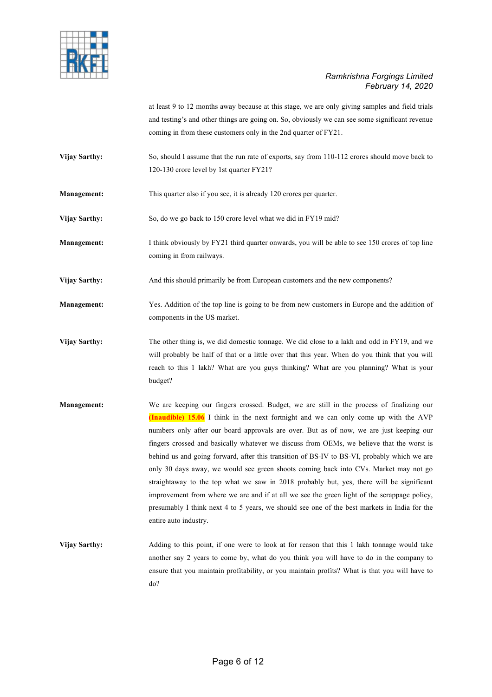

at least 9 to 12 months away because at this stage, we are only giving samples and field trials and testing's and other things are going on. So, obviously we can see some significant revenue coming in from these customers only in the 2nd quarter of FY21.

- **Vijay Sarthy:** So, should I assume that the run rate of exports, say from 110-112 crores should move back to 120-130 crore level by 1st quarter FY21?
- **Management:** This quarter also if you see, it is already 120 crores per quarter.
- Vijay Sarthy: So, do we go back to 150 crore level what we did in FY19 mid?

**Management:** I think obviously by FY21 third quarter onwards, you will be able to see 150 crores of top line coming in from railways.

**Vijay Sarthy:** And this should primarily be from European customers and the new components?

**Management:** Yes. Addition of the top line is going to be from new customers in Europe and the addition of components in the US market.

- **Vijay Sarthy:** The other thing is, we did domestic tonnage. We did close to a lakh and odd in FY19, and we will probably be half of that or a little over that this year. When do you think that you will reach to this 1 lakh? What are you guys thinking? What are you planning? What is your budget?
- **Management:** We are keeping our fingers crossed. Budget, we are still in the process of finalizing our **(Inaudible) 15.06** I think in the next fortnight and we can only come up with the AVP numbers only after our board approvals are over. But as of now, we are just keeping our fingers crossed and basically whatever we discuss from OEMs, we believe that the worst is behind us and going forward, after this transition of BS-IV to BS-VI, probably which we are only 30 days away, we would see green shoots coming back into CVs. Market may not go straightaway to the top what we saw in 2018 probably but, yes, there will be significant improvement from where we are and if at all we see the green light of the scrappage policy, presumably I think next 4 to 5 years, we should see one of the best markets in India for the entire auto industry.
- **Vijay Sarthy:** Adding to this point, if one were to look at for reason that this 1 lakh tonnage would take another say 2 years to come by, what do you think you will have to do in the company to ensure that you maintain profitability, or you maintain profits? What is that you will have to do?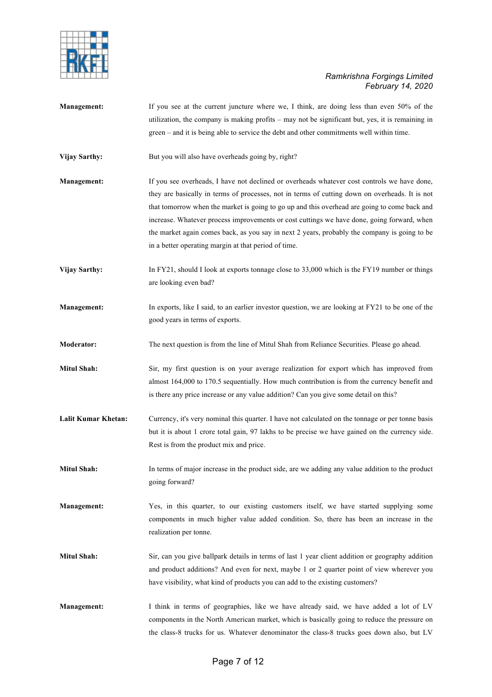

- **Management:** If you see at the current juncture where we, I think, are doing less than even 50% of the utilization, the company is making profits – may not be significant but, yes, it is remaining in green – and it is being able to service the debt and other commitments well within time.
- Vijay Sarthy: But you will also have overheads going by, right?
- **Management:** If you see overheads, I have not declined or overheads whatever cost controls we have done, they are basically in terms of processes, not in terms of cutting down on overheads. It is not that tomorrow when the market is going to go up and this overhead are going to come back and increase. Whatever process improvements or cost cuttings we have done, going forward, when the market again comes back, as you say in next 2 years, probably the company is going to be in a better operating margin at that period of time.
- **Vijay Sarthy:** In FY21, should I look at exports tonnage close to 33,000 which is the FY19 number or things are looking even bad?
- **Management:** In exports, like I said, to an earlier investor question, we are looking at FY21 to be one of the good years in terms of exports.
- **Moderator:** The next question is from the line of Mitul Shah from Reliance Securities. Please go ahead.
- **Mitul Shah:** Sir, my first question is on your average realization for export which has improved from almost 164,000 to 170.5 sequentially. How much contribution is from the currency benefit and is there any price increase or any value addition? Can you give some detail on this?
- Lalit Kumar Khetan: Currency, it's very nominal this quarter. I have not calculated on the tonnage or per tonne basis but it is about 1 crore total gain, 97 lakhs to be precise we have gained on the currency side. Rest is from the product mix and price.
- **Mitul Shah:** In terms of major increase in the product side, are we adding any value addition to the product going forward?
- **Management:** Yes, in this quarter, to our existing customers itself, we have started supplying some components in much higher value added condition. So, there has been an increase in the realization per tonne.
- **Mitul Shah:** Sir, can you give ballpark details in terms of last 1 year client addition or geography addition and product additions? And even for next, maybe 1 or 2 quarter point of view wherever you have visibility, what kind of products you can add to the existing customers?
- **Management:** I think in terms of geographies, like we have already said, we have added a lot of LV components in the North American market, which is basically going to reduce the pressure on the class-8 trucks for us. Whatever denominator the class-8 trucks goes down also, but LV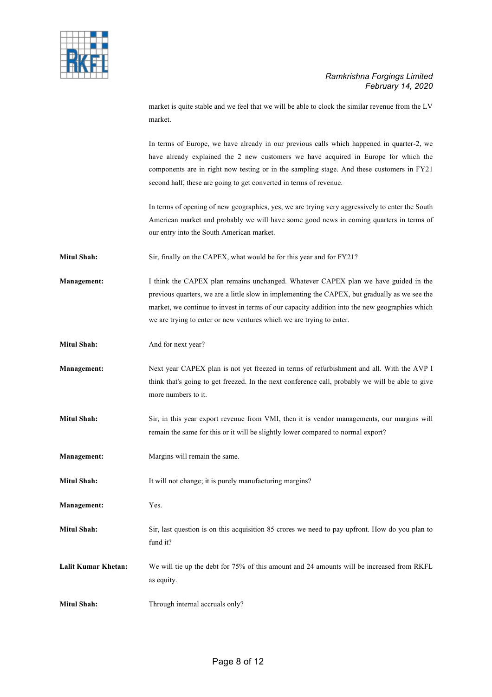

market is quite stable and we feel that we will be able to clock the similar revenue from the LV market.

In terms of Europe, we have already in our previous calls which happened in quarter-2, we have already explained the 2 new customers we have acquired in Europe for which the components are in right now testing or in the sampling stage. And these customers in FY21 second half, these are going to get converted in terms of revenue.

In terms of opening of new geographies, yes, we are trying very aggressively to enter the South American market and probably we will have some good news in coming quarters in terms of our entry into the South American market.

Mitul Shah: Sir, finally on the CAPEX, what would be for this year and for FY21?

**Management:** I think the CAPEX plan remains unchanged. Whatever CAPEX plan we have guided in the previous quarters, we are a little slow in implementing the CAPEX, but gradually as we see the market, we continue to invest in terms of our capacity addition into the new geographies which we are trying to enter or new ventures which we are trying to enter.

**Mitul Shah:** And for next year?

**Management:** Next year CAPEX plan is not yet freezed in terms of refurbishment and all. With the AVP I think that's going to get freezed. In the next conference call, probably we will be able to give more numbers to it.

**Mitul Shah:** Sir, in this year export revenue from VMI, then it is vendor managements, our margins will remain the same for this or it will be slightly lower compared to normal export?

**Management:** Margins will remain the same.

**Mitul Shah:** It will not change; it is purely manufacturing margins?

**Management:** Yes.

**Mitul Shah:** Sir, last question is on this acquisition 85 crores we need to pay upfront. How do you plan to fund it?

**Lalit Kumar Khetan:** We will tie up the debt for 75% of this amount and 24 amounts will be increased from RKFL as equity.

**Mitul Shah:** Through internal accruals only?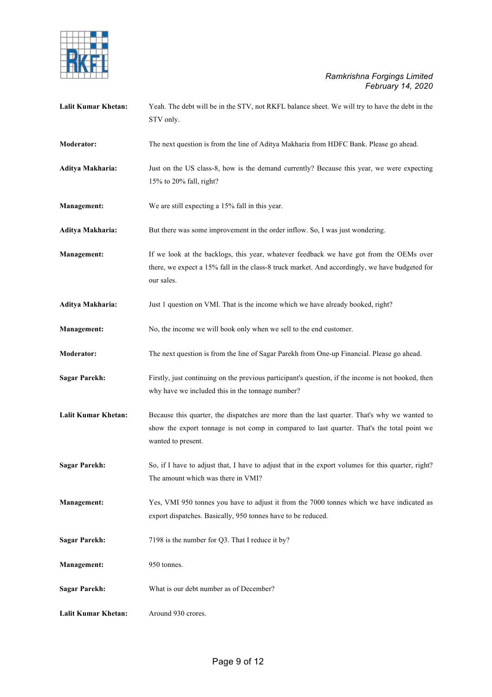

| <b>Lalit Kumar Khetan:</b> | Yeah. The debt will be in the STV, not RKFL balance sheet. We will try to have the debt in the<br>STV only.                                                                                                      |
|----------------------------|------------------------------------------------------------------------------------------------------------------------------------------------------------------------------------------------------------------|
| Moderator:                 | The next question is from the line of Aditya Makharia from HDFC Bank. Please go ahead.                                                                                                                           |
| Aditya Makharia:           | Just on the US class-8, how is the demand currently? Because this year, we were expecting<br>15% to 20% fall, right?                                                                                             |
| <b>Management:</b>         | We are still expecting a 15% fall in this year.                                                                                                                                                                  |
| Aditya Makharia:           | But there was some improvement in the order inflow. So, I was just wondering.                                                                                                                                    |
| <b>Management:</b>         | If we look at the backlogs, this year, whatever feedback we have got from the OEMs over<br>there, we expect a 15% fall in the class-8 truck market. And accordingly, we have budgeted for<br>our sales.          |
| Aditya Makharia:           | Just 1 question on VMI. That is the income which we have already booked, right?                                                                                                                                  |
| Management:                | No, the income we will book only when we sell to the end customer.                                                                                                                                               |
| Moderator:                 | The next question is from the line of Sagar Parekh from One-up Financial. Please go ahead.                                                                                                                       |
| <b>Sagar Parekh:</b>       | Firstly, just continuing on the previous participant's question, if the income is not booked, then<br>why have we included this in the tonnage number?                                                           |
| Lalit Kumar Khetan:        | Because this quarter, the dispatches are more than the last quarter. That's why we wanted to<br>show the export tonnage is not comp in compared to last quarter. That's the total point we<br>wanted to present. |
| <b>Sagar Parekh:</b>       | So, if I have to adjust that, I have to adjust that in the export volumes for this quarter, right?<br>The amount which was there in VMI?                                                                         |
| Management:                | Yes, VMI 950 tonnes you have to adjust it from the 7000 tonnes which we have indicated as<br>export dispatches. Basically, 950 tonnes have to be reduced.                                                        |
| <b>Sagar Parekh:</b>       | 7198 is the number for Q3. That I reduce it by?                                                                                                                                                                  |
| Management:                | 950 tonnes.                                                                                                                                                                                                      |
| <b>Sagar Parekh:</b>       | What is our debt number as of December?                                                                                                                                                                          |
| <b>Lalit Kumar Khetan:</b> | Around 930 crores.                                                                                                                                                                                               |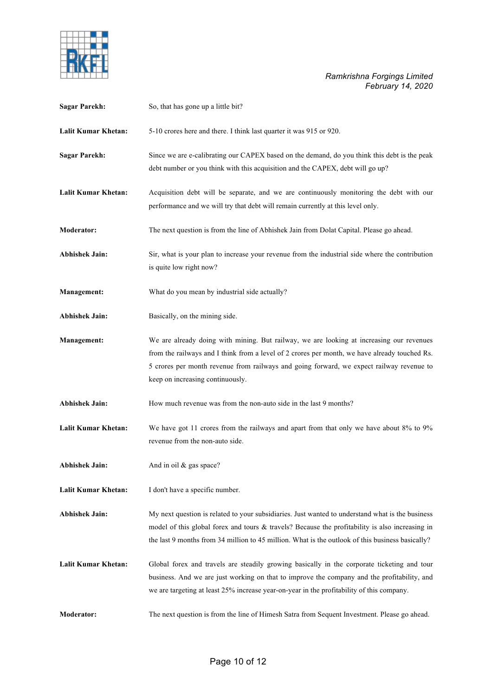

| <b>Sagar Parekh:</b>       | So, that has gone up a little bit?                                                                                                                                                                                                                                                                                        |
|----------------------------|---------------------------------------------------------------------------------------------------------------------------------------------------------------------------------------------------------------------------------------------------------------------------------------------------------------------------|
| Lalit Kumar Khetan:        | 5-10 crores here and there. I think last quarter it was 915 or 920.                                                                                                                                                                                                                                                       |
| <b>Sagar Parekh:</b>       | Since we are e-calibrating our CAPEX based on the demand, do you think this debt is the peak<br>debt number or you think with this acquisition and the CAPEX, debt will go up?                                                                                                                                            |
| Lalit Kumar Khetan:        | Acquisition debt will be separate, and we are continuously monitoring the debt with our<br>performance and we will try that debt will remain currently at this level only.                                                                                                                                                |
| Moderator:                 | The next question is from the line of Abhishek Jain from Dolat Capital. Please go ahead.                                                                                                                                                                                                                                  |
| <b>Abhishek Jain:</b>      | Sir, what is your plan to increase your revenue from the industrial side where the contribution<br>is quite low right now?                                                                                                                                                                                                |
| <b>Management:</b>         | What do you mean by industrial side actually?                                                                                                                                                                                                                                                                             |
| <b>Abhishek Jain:</b>      | Basically, on the mining side.                                                                                                                                                                                                                                                                                            |
| Management:                | We are already doing with mining. But railway, we are looking at increasing our revenues<br>from the railways and I think from a level of 2 crores per month, we have already touched Rs.<br>5 crores per month revenue from railways and going forward, we expect railway revenue to<br>keep on increasing continuously. |
| <b>Abhishek Jain:</b>      | How much revenue was from the non-auto side in the last 9 months?                                                                                                                                                                                                                                                         |
| <b>Lalit Kumar Khetan:</b> | We have got 11 crores from the railways and apart from that only we have about 8% to 9%<br>revenue from the non-auto side.                                                                                                                                                                                                |
| <b>Abhishek Jain:</b>      | And in oil & gas space?                                                                                                                                                                                                                                                                                                   |
| <b>Lalit Kumar Khetan:</b> | I don't have a specific number.                                                                                                                                                                                                                                                                                           |
| <b>Abhishek Jain:</b>      | My next question is related to your subsidiaries. Just wanted to understand what is the business<br>model of this global forex and tours & travels? Because the profitability is also increasing in<br>the last 9 months from 34 million to 45 million. What is the outlook of this business basically?                   |
| Lalit Kumar Khetan:        | Global forex and travels are steadily growing basically in the corporate ticketing and tour<br>business. And we are just working on that to improve the company and the profitability, and<br>we are targeting at least 25% increase year-on-year in the profitability of this company.                                   |
| <b>Moderator:</b>          | The next question is from the line of Himesh Satra from Sequent Investment. Please go ahead.                                                                                                                                                                                                                              |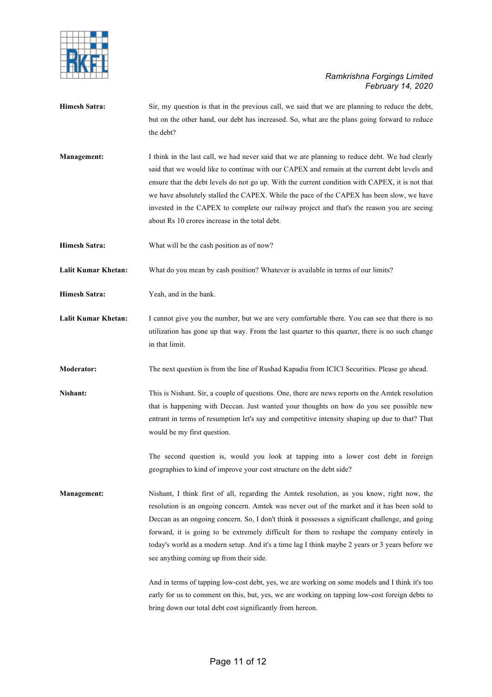

- **Himesh Satra:** Sir, my question is that in the previous call, we said that we are planning to reduce the debt, but on the other hand, our debt has increased. So, what are the plans going forward to reduce the debt?
- **Management:** I think in the last call, we had never said that we are planning to reduce debt. We had clearly said that we would like to continue with our CAPEX and remain at the current debt levels and ensure that the debt levels do not go up. With the current condition with CAPEX, it is not that we have absolutely stalled the CAPEX. While the pace of the CAPEX has been slow, we have invested in the CAPEX to complete our railway project and that's the reason you are seeing about Rs 10 crores increase in the total debt.
- **Himesh Satra:** What will be the cash position as of now?
- **Lalit Kumar Khetan:** What do you mean by cash position? Whatever is available in terms of our limits?
- **Himesh Satra:** Yeah, and in the bank.
- Lalit Kumar Khetan: I cannot give you the number, but we are very comfortable there. You can see that there is no utilization has gone up that way. From the last quarter to this quarter, there is no such change in that limit.
- **Moderator:** The next question is from the line of Rushad Kapadia from ICICI Securities. Please go ahead.
- **Nishant:** This is Nishant. Sir, a couple of questions. One, there are news reports on the Amtek resolution that is happening with Deccan. Just wanted your thoughts on how do you see possible new entrant in terms of resumption let's say and competitive intensity shaping up due to that? That would be my first question.
	- The second question is, would you look at tapping into a lower cost debt in foreign geographies to kind of improve your cost structure on the debt side?
- **Management:** Nishant, I think first of all, regarding the Amtek resolution, as you know, right now, the resolution is an ongoing concern. Amtek was never out of the market and it has been sold to Deccan as an ongoing concern. So, I don't think it possesses a significant challenge, and going forward, it is going to be extremely difficult for them to reshape the company entirely in today's world as a modern setup. And it's a time lag I think maybe 2 years or 3 years before we see anything coming up from their side.
	- And in terms of tapping low-cost debt, yes, we are working on some models and I think it's too early for us to comment on this, but, yes, we are working on tapping low-cost foreign debts to bring down our total debt cost significantly from hereon.